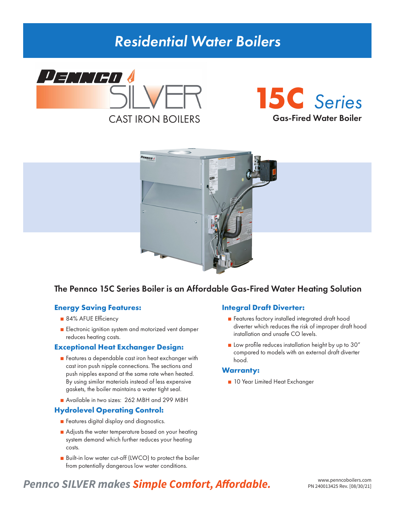# *Residential Water Boilers*







## The Pennco 15C Series Boiler is an Affordable Gas-Fired Water Heating Solution

## **Energy Saving Features:**

- 84% AFUE Efficiency
- Electronic ignition system and motorized vent damper reduces heating costs.

## **Exceptional Heat Exchanger Design:**

- Features a dependable cast iron heat exchanger with cast iron push nipple connections. The sections and push nipples expand at the same rate when heated. By using similar materials instead of less expensive gaskets, the boiler maintains a water tight seal.
- Available in two sizes: 262 MBH and 299 MBH

## **Hydrolevel Operating Control:**

- Features digital display and diagnostics.
- Adjusts the water temperature based on your heating system demand which further reduces your heating costs.
- Built-in low water cut-off (LWCO) to protect the boiler from potentially dangerous low water conditions.

## **Integral Draft Diverter:**

- Features factory installed integrated draft hood diverter which reduces the risk of improper draft hood installation and unsafe CO levels.
- Low profile reduces installation height by up to 30" compared to models with an external draft diverter hood.

## **Warranty:**

■ 10 Year Limited Heat Exchanger

## **Pennco SILVER makes Simple Comfort, Affordable.** WWW.penncoboilers.com **PRIZ40013425 Rev. [08/30/21]**